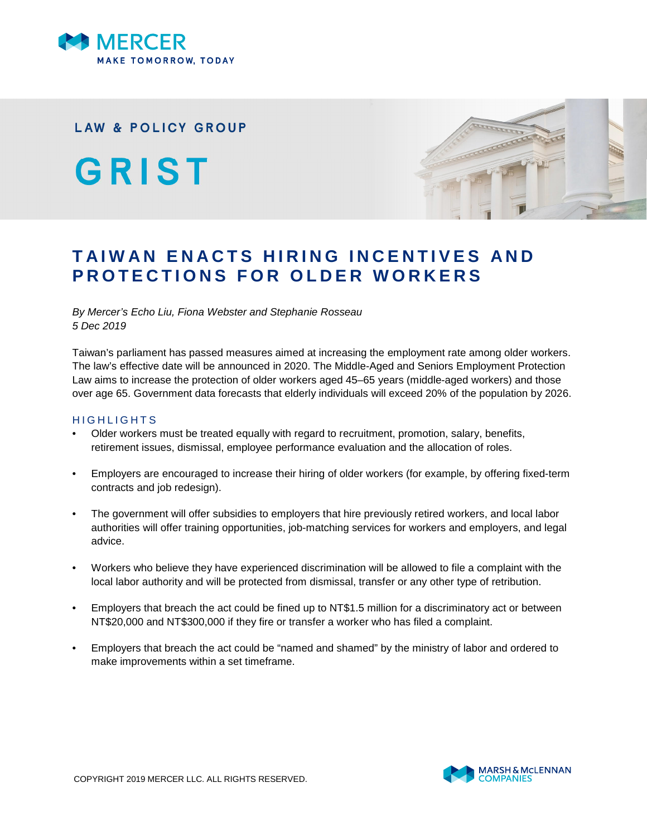

## **LAW & POLICY GROUP**

GRIST



# **TAIWAN ENACTS HIRING INCENTIVES AND PROTECTIONS FOR OLDER WORKERS**

#### *By Mercer's Echo Liu, Fiona Webster and Stephanie Rosseau 5 Dec 2019*

Taiwan's parliament has passed measures aimed at increasing the employment rate among older workers. The law's effective date will be announced in 2020. The Middle-Aged and Seniors Employment Protection Law aims to increase the protection of older workers aged 45–65 years (middle-aged workers) and those over age 65. Government data forecasts that elderly individuals will exceed 20% of the population by 2026.

#### H I G H L I G H T S

- Older workers must be treated equally with regard to recruitment, promotion, salary, benefits, retirement issues, dismissal, employee performance evaluation and the allocation of roles.
- Employers are encouraged to increase their hiring of older workers (for example, by offering fixed-term contracts and job redesign).
- The government will offer subsidies to employers that hire previously retired workers, and local labor authorities will offer training opportunities, job-matching services for workers and employers, and legal advice.
- Workers who believe they have experienced discrimination will be allowed to file a complaint with the local labor authority and will be protected from dismissal, transfer or any other type of retribution.
- Employers that breach the act could be fined up to NT\$1.5 million for a discriminatory act or between NT\$20,000 and NT\$300,000 if they fire or transfer a worker who has filed a complaint.
- Employers that breach the act could be "named and shamed" by the ministry of labor and ordered to make improvements within a set timeframe.